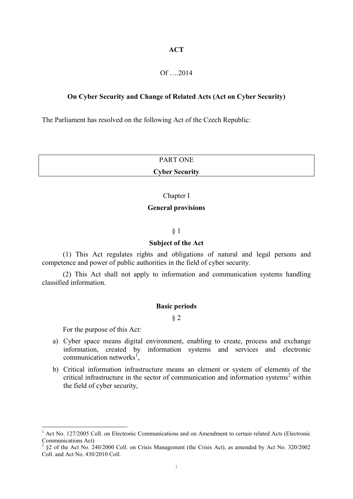# **ACT**

# Of ….2014

# **On Cyber Security and Change of Related Acts (Act on Cyber Security)**

The Parliament has resolved on the following Act of the Czech Republic:

| <b>PART ONE</b>       |  |
|-----------------------|--|
| <b>Cyber Security</b> |  |

## Chapter I

# **General provisions**

# § 1

# **Subject of the Act**

(1) This Act regulates rights and obligations of natural and legal persons and competence and power of public authorities in the field of cyber security.

(2) This Act shall not apply to information and communication systems handling classified information.

#### **Basic periods**

§ 2

For the purpose of this Act:

<u>.</u>

- a) Cyber space means digital environment, enabling to create, process and exchange information, created by information systems and services and electronic communication networks<sup>1</sup>,
- b) Critical information infrastructure means an element or system of elements of the critical infrastructure in the sector of communication and information systems<sup>2</sup> within the field of cyber security,

<sup>1</sup> Act No. 127/2005 Coll. on Electronic Communications and on Amendment to certain related Acts (Electronic Communications Act)

<sup>2</sup> §2 of the Act No. 240/2000 Coll. on Crisis Management (the Crisis Act), as amended by Act No. 320/2002 Coll. and Act No. 430/2010 Coll.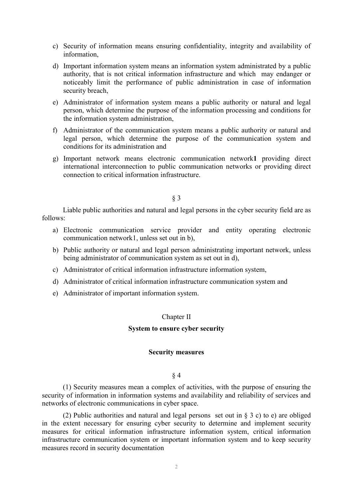- c) Security of information means ensuring confidentiality, integrity and availability of information,
- d) Important information system means an information system administrated by a public authority, that is not critical information infrastructure and which may endanger or noticeably limit the performance of public administration in case of information security breach,
- e) Administrator of information system means a public authority or natural and legal person, which determine the purpose of the information processing and conditions for the information system administration,
- f) Administrator of the communication system means a public authority or natural and legal person, which determine the purpose of the communication system and conditions for its administration and
- g) Important network means electronic communication network**1** providing direct international interconnection to public communication networks or providing direct connection to critical information infrastructure.

§ 3

Liable public authorities and natural and legal persons in the cyber security field are as follows:

- a) Electronic communication service provider and entity operating electronic communication network1, unless set out in b),
- b) Public authority or natural and legal person administrating important network, unless being administrator of communication system as set out in d),
- c) Administrator of critical information infrastructure information system,
- d) Administrator of critical information infrastructure communication system and
- e) Administrator of important information system.

# Chapter II

# **System to ensure cyber security**

## **Security measures**

# § 4

(1) Security measures mean a complex of activities, with the purpose of ensuring the security of information in information systems and availability and reliability of services and networks of electronic communications in cyber space.

(2) Public authorities and natural and legal persons set out in § 3 c) to e) are obliged in the extent necessary for ensuring cyber security to determine and implement security measures for critical information infrastructure information system, critical information infrastructure communication system or important information system and to keep security measures record in security documentation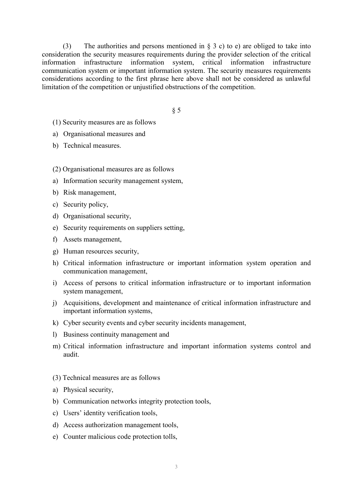(3) The authorities and persons mentioned in  $\S$  3 c) to e) are obliged to take into consideration the security measures requirements during the provider selection of the critical information infrastructure information system, critical information infrastructure communication system or important information system. The security measures requirements considerations according to the first phrase here above shall not be considered as unlawful limitation of the competition or unjustified obstructions of the competition.

§ 5

- (1) Security measures are as follows
- a) Organisational measures and
- b) Technical measures.
- (2) Organisational measures are as follows
- a) Information security management system,
- b) Risk management,
- c) Security policy,
- d) Organisational security,
- e) Security requirements on suppliers setting,
- f) Assets management,
- g) Human resources security,
- h) Critical information infrastructure or important information system operation and communication management,
- i) Access of persons to critical information infrastructure or to important information system management,
- j) Acquisitions, development and maintenance of critical information infrastructure and important information systems,
- k) Cyber security events and cyber security incidents management,
- l) Business continuity management and
- m) Critical information infrastructure and important information systems control and audit.
- (3) Technical measures are as follows
- a) Physical security,
- b) Communication networks integrity protection tools,
- c) Users' identity verification tools,
- d) Access authorization management tools,
- e) Counter malicious code protection tolls,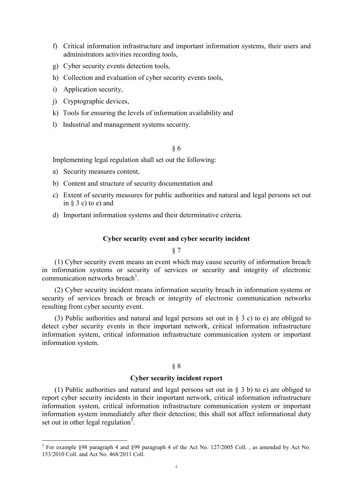- f) Critical information infrastructure and important information systems, their users and administrators activities recording tools,
- g) Cyber security events detection tools,
- h) Collection and evaluation of cyber security events tools,
- i) Application security,
- j) Cryptographic devices,
- k) Tools for ensuring the levels of information availability and
- l) Industrial and management systems security.

# § 6

Implementing legal regulation shall set out the following:

a) Security measures content,

1

- b) Content and structure of security documentation and
- c) Extent of security measures for public authorities and natural and legal persons set out in  $\S$  3 c) to e) and
- d) Important information systems and their determinative criteria.

# **Cyber security event and cyber security incident**

# § 7

(1) Cyber security event means an event which may cause security of information breach in information systems or security of services or security and integrity of electronic communication networks breach<sup>1</sup>.

(2) Cyber security incident means information security breach in information systems or security of services breach or breach or integrity of electronic communication networks resulting from cyber security event.

(3) Public authorities and natural and legal persons set out in § 3 c) to e) are obliged to detect cyber security events in their important network, critical information infrastructure information system, critical information infrastructure communication system or important information system.

# § 8

# **Cyber security incident report**

(1) Public authorities and natural and legal persons set out in § 3 b) to e) are obliged to report cyber security incidents in their important network, critical information infrastructure information system, critical information infrastructure communication system or important information system immediately after their detection; this shall not affect informational duty set out in other legal regulation<sup>3</sup>.

<sup>&</sup>lt;sup>3</sup> For example §98 paragraph 4 and §99 paragraph 4 of the Act No. 127/2005 Coll., as amended by Act No. 153/2010 Coll. and Act No. 468/2011 Coll.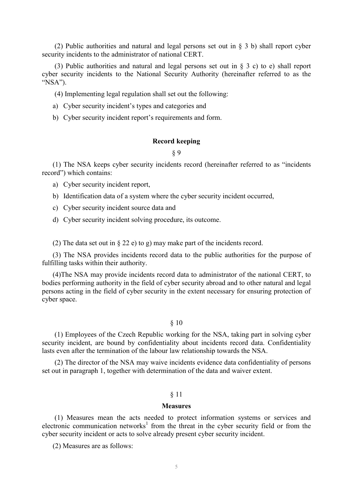(2) Public authorities and natural and legal persons set out in § 3 b) shall report cyber security incidents to the administrator of national CERT.

(3) Public authorities and natural and legal persons set out in § 3 c) to e) shall report cyber security incidents to the National Security Authority (hereinafter referred to as the "NSA").

(4) Implementing legal regulation shall set out the following:

- a) Cyber security incident's types and categories and
- b) Cyber security incident report's requirements and form.

# **Record keeping**

§ 9

(1) The NSA keeps cyber security incidents record (hereinafter referred to as "incidents record") which contains:

a) Cyber security incident report,

b) Identification data of a system where the cyber security incident occurred,

- c) Cyber security incident source data and
- d) Cyber security incident solving procedure, its outcome.

(2) The data set out in § 22 e) to g) may make part of the incidents record.

(3) The NSA provides incidents record data to the public authorities for the purpose of fulfilling tasks within their authority.

(4)The NSA may provide incidents record data to administrator of the national CERT, to bodies performing authority in the field of cyber security abroad and to other natural and legal persons acting in the field of cyber security in the extent necessary for ensuring protection of cyber space.

# § 10

(1) Employees of the Czech Republic working for the NSA, taking part in solving cyber security incident, are bound by confidentiality about incidents record data. Confidentiality lasts even after the termination of the labour law relationship towards the NSA.

(2) The director of the NSA may waive incidents evidence data confidentiality of persons set out in paragraph 1, together with determination of the data and waiver extent.

# § 11

#### **Measures**

(1) Measures mean the acts needed to protect information systems or services and electronic communication networks<sup>1</sup> from the threat in the cyber security field or from the cyber security incident or acts to solve already present cyber security incident.

(2) Measures are as follows: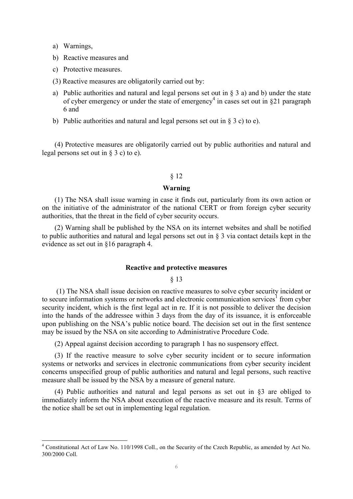a) Warnings,

1

- b) Reactive measures and
- c) Protective measures.
- (3) Reactive measures are obligatorily carried out by:
- a) Public authorities and natural and legal persons set out in  $\S$  3 a) and b) under the state of cyber emergency or under the state of emergency<sup>4</sup> in cases set out in §21 paragraph 6 and
- b) Public authorities and natural and legal persons set out in  $\S$  3 c) to e).

(4) Protective measures are obligatorily carried out by public authorities and natural and legal persons set out in § 3 c) to e).

#### § 12

## **Warning**

(1) The NSA shall issue warning in case it finds out, particularly from its own action or on the initiative of the administrator of the national CERT or from foreign cyber security authorities, that the threat in the field of cyber security occurs.

(2) Warning shall be published by the NSA on its internet websites and shall be notified to public authorities and natural and legal persons set out in § 3 via contact details kept in the evidence as set out in §16 paragraph 4.

#### **Reactive and protective measures**

§ 13

(1) The NSA shall issue decision on reactive measures to solve cyber security incident or to secure information systems or networks and electronic communication services<sup>1</sup> from cyber security incident, which is the first legal act in re. If it is not possible to deliver the decision into the hands of the addressee within 3 days from the day of its issuance, it is enforceable upon publishing on the NSA's public notice board. The decision set out in the first sentence may be issued by the NSA on site according to Administrative Procedure Code.

(2) Appeal against decision according to paragraph 1 has no suspensory effect.

(3) If the reactive measure to solve cyber security incident or to secure information systems or networks and services in electronic communications from cyber security incident concerns unspecified group of public authorities and natural and legal persons, such reactive measure shall be issued by the NSA by a measure of general nature.

(4) Public authorities and natural and legal persons as set out in §3 are obliged to immediately inform the NSA about execution of the reactive measure and its result. Terms of the notice shall be set out in implementing legal regulation.

<sup>4</sup> Constitutional Act of Law No. 110/1998 Coll., on the Security of the Czech Republic, as amended by Act No. 300/2000 Coll.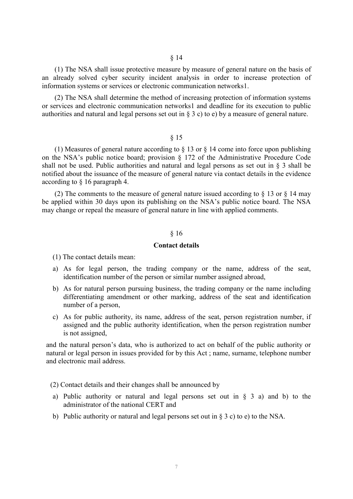(1) The NSA shall issue protective measure by measure of general nature on the basis of an already solved cyber security incident analysis in order to increase protection of information systems or services or electronic communication networks1.

(2) The NSA shall determine the method of increasing protection of information systems or services and electronic communication networks1 and deadline for its execution to public authorities and natural and legal persons set out in § 3 c) to e) by a measure of general nature.

#### § 15

(1) Measures of general nature according to  $\S$  13 or  $\S$  14 come into force upon publishing on the NSA's public notice board; provision § 172 of the Administrative Procedure Code shall not be used. Public authorities and natural and legal persons as set out in § 3 shall be notified about the issuance of the measure of general nature via contact details in the evidence according to § 16 paragraph 4.

(2) The comments to the measure of general nature issued according to  $\S$  13 or  $\S$  14 may be applied within 30 days upon its publishing on the NSA's public notice board. The NSA may change or repeal the measure of general nature in line with applied comments.

#### § 16

## **Contact details**

(1) The contact details mean:

- a) As for legal person, the trading company or the name, address of the seat, identification number of the person or similar number assigned abroad,
- b) As for natural person pursuing business, the trading company or the name including differentiating amendment or other marking, address of the seat and identification number of a person,
- c) As for public authority, its name, address of the seat, person registration number, if assigned and the public authority identification, when the person registration number is not assigned,

and the natural person's data, who is authorized to act on behalf of the public authority or natural or legal person in issues provided for by this Act ; name, surname, telephone number and electronic mail address.

(2) Contact details and their changes shall be announced by

- a) Public authority or natural and legal persons set out in  $\S$  3 a) and b) to the administrator of the national CERT and
- b) Public authority or natural and legal persons set out in § 3 c) to e) to the NSA.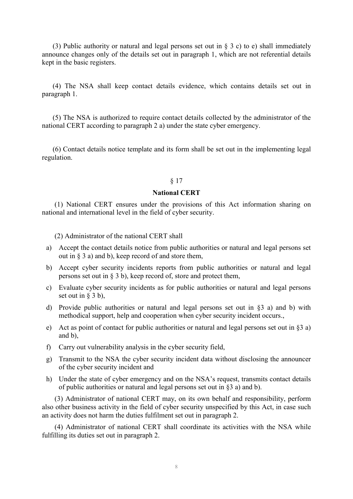(3) Public authority or natural and legal persons set out in  $\S$  3 c) to e) shall immediately announce changes only of the details set out in paragraph 1, which are not referential details kept in the basic registers.

(4) The NSA shall keep contact details evidence, which contains details set out in paragraph 1.

(5) The NSA is authorized to require contact details collected by the administrator of the national CERT according to paragraph 2 a) under the state cyber emergency.

(6) Contact details notice template and its form shall be set out in the implementing legal regulation.

## § 17

#### **National CERT**

(1) National CERT ensures under the provisions of this Act information sharing on national and international level in the field of cyber security.

(2) Administrator of the national CERT shall

- a) Accept the contact details notice from public authorities or natural and legal persons set out in  $\S$  3 a) and b), keep record of and store them,
- b) Accept cyber security incidents reports from public authorities or natural and legal persons set out in § 3 b), keep record of, store and protect them,
- c) Evaluate cyber security incidents as for public authorities or natural and legal persons set out in  $\S$  3 b),
- d) Provide public authorities or natural and legal persons set out in §3 a) and b) with methodical support, help and cooperation when cyber security incident occurs.,
- e) Act as point of contact for public authorities or natural and legal persons set out in  $\S$ 3 a) and b),
- f) Carry out vulnerability analysis in the cyber security field,
- g) Transmit to the NSA the cyber security incident data without disclosing the announcer of the cyber security incident and
- h) Under the state of cyber emergency and on the NSA's request, transmits contact details of public authorities or natural and legal persons set out in §3 a) and b).

(3) Administrator of national CERT may, on its own behalf and responsibility, perform also other business activity in the field of cyber security unspecified by this Act, in case such an activity does not harm the duties fulfilment set out in paragraph 2.

(4) Administrator of national CERT shall coordinate its activities with the NSA while fulfilling its duties set out in paragraph 2.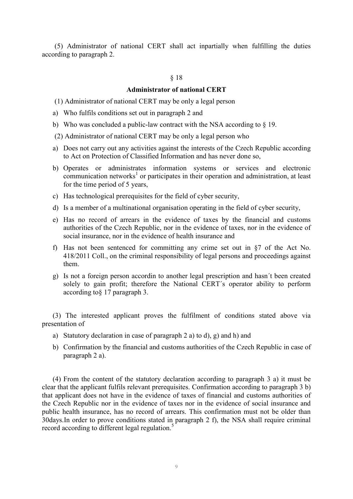(5) Administrator of national CERT shall act inpartially when fulfilling the duties according to paragraph 2.

#### § 18

## **Administrator of national CERT**

- (1) Administrator of national CERT may be only a legal person
- a) Who fulfils conditions set out in paragraph 2 and
- b) Who was concluded a public-law contract with the NSA according to § 19.
- (2) Administrator of national CERT may be only a legal person who
- a) Does not carry out any activities against the interests of the Czech Republic according to Act on Protection of Classified Information and has never done so,
- b) Operates or administrates information systems or services and electronic  $c$ ommunication networks<sup>1</sup> or participates in their operation and administration, at least for the time period of 5 years,
- c) Has technological prerequisites for the field of cyber security,
- d) Is a member of a multinational organisation operating in the field of cyber security,
- e) Has no record of arrears in the evidence of taxes by the financial and customs authorities of the Czech Republic, nor in the evidence of taxes, nor in the evidence of social insurance, nor in the evidence of health insurance and
- f) Has not been sentenced for committing any crime set out in §7 of the Act No. 418/2011 Coll., on the criminal responsibility of legal persons and proceedings against them.
- g) Is not a foreign person accordin to another legal prescription and hasn´t been created solely to gain profit; therefore the National CERT´s operator ability to perform according to§ 17 paragraph 3.

(3) The interested applicant proves the fulfilment of conditions stated above via presentation of

- a) Statutory declaration in case of paragraph 2 a) to d), g) and h) and
- b) Confirmation by the financial and customs authorities of the Czech Republic in case of paragraph 2 a).

(4) From the content of the statutory declaration according to paragraph 3 a) it must be clear that the applicant fulfils relevant prerequisites. Confirmation according to paragraph 3 b) that applicant does not have in the evidence of taxes of financial and customs authorities of the Czech Republic nor in the evidence of taxes nor in the evidence of social insurance and public health insurance, has no record of arrears. This confirmation must not be older than 30days.In order to prove conditions stated in paragraph 2 f), the NSA shall require criminal record according to different legal regulation.<sup>5</sup>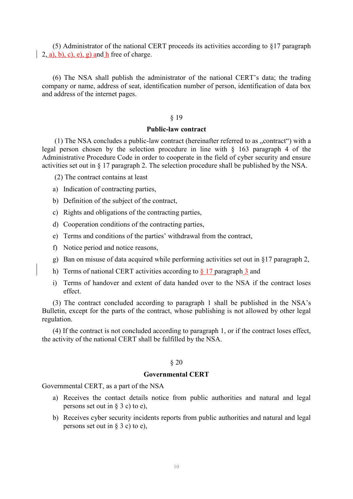(5) Administrator of the national CERT proceeds its activities according to §17 paragraph  $(2, a), b), c), e), g)$  and h free of charge.

(6) The NSA shall publish the administrator of the national CERT's data; the trading company or name, address of seat, identification number of person, identification of data box and address of the internet pages.

#### § 19

# **Public-law contract**

(1) The NSA concludes a public-law contract (hereinafter referred to as  $\alpha$  contract  $\alpha$ ) with a legal person chosen by the selection procedure in line with § 163 paragraph 4 of the Administrative Procedure Code in order to cooperate in the field of cyber security and ensure activities set out in § 17 paragraph 2. The selection procedure shall be published by the NSA.

- (2) The contract contains at least
- a) Indication of contracting parties,
- b) Definition of the subject of the contract,
- c) Rights and obligations of the contracting parties,
- d) Cooperation conditions of the contracting parties,
- e) Terms and conditions of the parties' withdrawal from the contract,
- f) Notice period and notice reasons,
- g) Ban on misuse of data acquired while performing activities set out in §17 paragraph 2,
- h) Terms of national CERT activities according to § 17 paragraph 3 and
- i) Terms of handover and extent of data handed over to the NSA if the contract loses effect.

(3) The contract concluded according to paragraph 1 shall be published in the NSA's Bulletin, except for the parts of the contract, whose publishing is not allowed by other legal regulation.

(4) If the contract is not concluded according to paragraph 1, or if the contract loses effect, the activity of the national CERT shall be fulfilled by the NSA.

#### § 20

# **Governmental CERT**

Governmental CERT, as a part of the NSA

- a) Receives the contact details notice from public authorities and natural and legal persons set out in § 3 c) to e),
- b) Receives cyber security incidents reports from public authorities and natural and legal persons set out in § 3 c) to e),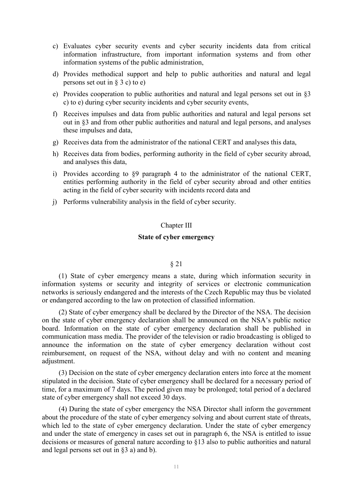- c) Evaluates cyber security events and cyber security incidents data from critical information infrastructure, from important information systems and from other information systems of the public administration,
- d) Provides methodical support and help to public authorities and natural and legal persons set out in  $\S$  3 c) to e)
- e) Provides cooperation to public authorities and natural and legal persons set out in §3 c) to e) during cyber security incidents and cyber security events,
- f) Receives impulses and data from public authorities and natural and legal persons set out in §3 and from other public authorities and natural and legal persons, and analyses these impulses and data,
- g) Receives data from the administrator of the national CERT and analyses this data,
- h) Receives data from bodies, performing authority in the field of cyber security abroad, and analyses this data,
- i) Provides according to §9 paragraph 4 to the administrator of the national CERT, entities performing authority in the field of cyber security abroad and other entities acting in the field of cyber security with incidents record data and
- j) Performs vulnerability analysis in the field of cyber security.

# Chapter III

# **State of cyber emergency**

# § 21

(1) State of cyber emergency means a state, during which information security in information systems or security and integrity of services or electronic communication networks is seriously endangered and the interests of the Czech Republic may thus be violated or endangered according to the law on protection of classified information.

(2) State of cyber emergency shall be declared by the Director of the NSA. The decision on the state of cyber emergency declaration shall be announced on the NSA's public notice board. Information on the state of cyber emergency declaration shall be published in communication mass media. The provider of the television or radio broadcasting is obliged to announce the information on the state of cyber emergency declaration without cost reimbursement, on request of the NSA, without delay and with no content and meaning adjustment.

(3) Decision on the state of cyber emergency declaration enters into force at the moment stipulated in the decision. State of cyber emergency shall be declared for a necessary period of time, for a maximum of 7 days. The period given may be prolonged; total period of a declared state of cyber emergency shall not exceed 30 days.

(4) During the state of cyber emergency the NSA Director shall inform the government about the procedure of the state of cyber emergency solving and about current state of threats, which led to the state of cyber emergency declaration. Under the state of cyber emergency and under the state of emergency in cases set out in paragraph 6, the NSA is entitled to issue decisions or measures of general nature according to §13 also to public authorities and natural and legal persons set out in §3 a) and b).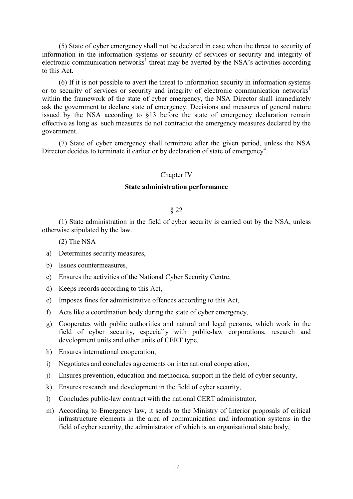(5) State of cyber emergency shall not be declared in case when the threat to security of information in the information systems or security of services or security and integrity of electronic communication networks<sup>1</sup> threat may be averted by the NSA's activities according to this Act.

(6) If it is not possible to avert the threat to information security in information systems or to security of services or security and integrity of electronic communication networks<sup>1</sup> within the framework of the state of cyber emergency, the NSA Director shall immediately ask the government to declare state of emergency. Decisions and measures of general nature issued by the NSA according to §13 before the state of emergency declaration remain effective as long as such measures do not contradict the emergency measures declared by the government.

(7) State of cyber emergency shall terminate after the given period, unless the NSA Director decides to terminate it earlier or by declaration of state of emergency<sup>4</sup>.

#### Chapter IV

## **State administration performance**

#### § 22

(1) State administration in the field of cyber security is carried out by the NSA, unless otherwise stipulated by the law.

(2) The NSA

- a) Determines security measures,
- b) Issues countermeasures,
- c) Ensures the activities of the National Cyber Security Centre,
- d) Keeps records according to this Act,
- e) Imposes fines for administrative offences according to this Act,
- f) Acts like a coordination body during the state of cyber emergency,
- g) Cooperates with public authorities and natural and legal persons, which work in the field of cyber security, especially with public-law corporations, research and development units and other units of CERT type,
- h) Ensures international cooperation,
- i) Negotiates and concludes agreements on international cooperation,
- j) Ensures prevention, education and methodical support in the field of cyber security,
- k) Ensures research and development in the field of cyber security,
- l) Concludes public-law contract with the national CERT administrator,
- m) According to Emergency law, it sends to the Ministry of Interior proposals of critical infrastructure elements in the area of communication and information systems in the field of cyber security, the administrator of which is an organisational state body,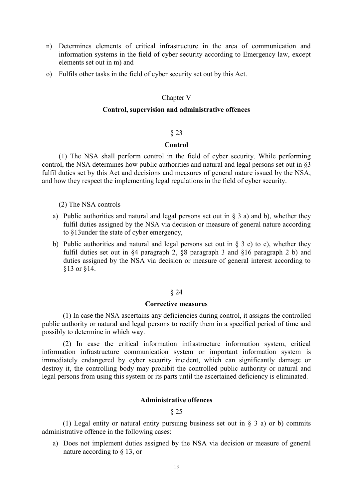- n) Determines elements of critical infrastructure in the area of communication and information systems in the field of cyber security according to Emergency law, except elements set out in m) and
- o) Fulfils other tasks in the field of cyber security set out by this Act.

# Chapter V

## **Control, supervision and administrative offences**

#### § 23

#### **Control**

(1) The NSA shall perform control in the field of cyber security. While performing control, the NSA determines how public authorities and natural and legal persons set out in §3 fulfil duties set by this Act and decisions and measures of general nature issued by the NSA, and how they respect the implementing legal regulations in the field of cyber security.

(2) The NSA controls

- a) Public authorities and natural and legal persons set out in  $\S$  3 a) and b), whether they fulfil duties assigned by the NSA via decision or measure of general nature according to §13under the state of cyber emergency,
- b) Public authorities and natural and legal persons set out in  $\S$  3 c) to e), whether they fulfil duties set out in §4 paragraph 2, §8 paragraph 3 and §16 paragraph 2 b) and duties assigned by the NSA via decision or measure of general interest according to §13 or §14.

# § 24

#### **Corrective measures**

(1) In case the NSA ascertains any deficiencies during control, it assigns the controlled public authority or natural and legal persons to rectify them in a specified period of time and possibly to determine in which way.

(2) In case the critical information infrastructure information system, critical information infrastructure communication system or important information system is immediately endangered by cyber security incident, which can significantly damage or destroy it, the controlling body may prohibit the controlled public authority or natural and legal persons from using this system or its parts until the ascertained deficiency is eliminated.

# **Administrative offences**

# § 25

(1) Legal entity or natural entity pursuing business set out in § 3 a) or b) commits administrative offence in the following cases:

a) Does not implement duties assigned by the NSA via decision or measure of general nature according to § 13, or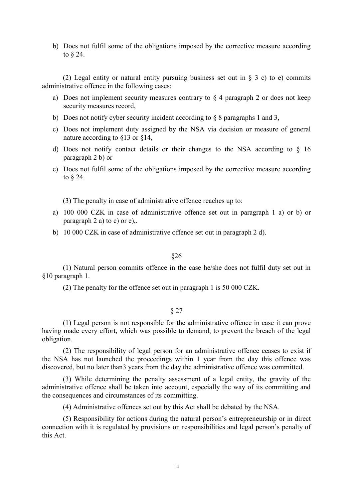b) Does not fulfil some of the obligations imposed by the corrective measure according to § 24.

(2) Legal entity or natural entity pursuing business set out in § 3 c) to e) commits administrative offence in the following cases:

- a) Does not implement security measures contrary to  $\S$  4 paragraph 2 or does not keep security measures record,
- b) Does not notify cyber security incident according to § 8 paragraphs 1 and 3,
- c) Does not implement duty assigned by the NSA via decision or measure of general nature according to §13 or §14,
- d) Does not notify contact details or their changes to the NSA according to  $\S$  16 paragraph 2 b) or
- e) Does not fulfil some of the obligations imposed by the corrective measure according to § 24.

(3) The penalty in case of administrative offence reaches up to:

- a) 100 000 CZK in case of administrative offence set out in paragraph 1 a) or b) or paragraph 2 a) to c) or  $e$ ),.
- b) 10 000 CZK in case of administrative offence set out in paragraph 2 d).

## §26

(1) Natural person commits offence in the case he/she does not fulfil duty set out in §10 paragraph 1.

(2) The penalty for the offence set out in paragraph 1 is 50 000 CZK.

#### § 27

(1) Legal person is not responsible for the administrative offence in case it can prove having made every effort, which was possible to demand, to prevent the breach of the legal obligation.

(2) The responsibility of legal person for an administrative offence ceases to exist if the NSA has not launched the proceedings within 1 year from the day this offence was discovered, but no later than3 years from the day the administrative offence was committed.

(3) While determining the penalty assessment of a legal entity, the gravity of the administrative offence shall be taken into account, especially the way of its committing and the consequences and circumstances of its committing.

(4) Administrative offences set out by this Act shall be debated by the NSA.

(5) Responsibility for actions during the natural person's entrepreneurship or in direct connection with it is regulated by provisions on responsibilities and legal person's penalty of this Act.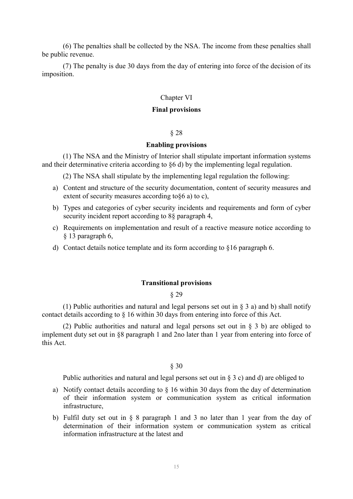(6) The penalties shall be collected by the NSA. The income from these penalties shall be public revenue.

(7) The penalty is due 30 days from the day of entering into force of the decision of its imposition.

# Chapter VI

## **Final provisions**

#### § 28

## **Enabling provisions**

(1) The NSA and the Ministry of Interior shall stipulate important information systems and their determinative criteria according to §6 d) by the implementing legal regulation.

(2) The NSA shall stipulate by the implementing legal regulation the following:

- a) Content and structure of the security documentation, content of security measures and extent of security measures according to§6 a) to c),
- b) Types and categories of cyber security incidents and requirements and form of cyber security incident report according to 8§ paragraph 4,
- c) Requirements on implementation and result of a reactive measure notice according to § 13 paragraph 6,
- d) Contact details notice template and its form according to §16 paragraph 6.

# **Transitional provisions**

## § 29

(1) Public authorities and natural and legal persons set out in § 3 a) and b) shall notify contact details according to § 16 within 30 days from entering into force of this Act.

(2) Public authorities and natural and legal persons set out in § 3 b) are obliged to implement duty set out in §8 paragraph 1 and 2no later than 1 year from entering into force of this Act.

§ 30

Public authorities and natural and legal persons set out in § 3 c) and d) are obliged to

- a) Notify contact details according to § 16 within 30 days from the day of determination of their information system or communication system as critical information infrastructure,
- b) Fulfil duty set out in § 8 paragraph 1 and 3 no later than 1 year from the day of determination of their information system or communication system as critical information infrastructure at the latest and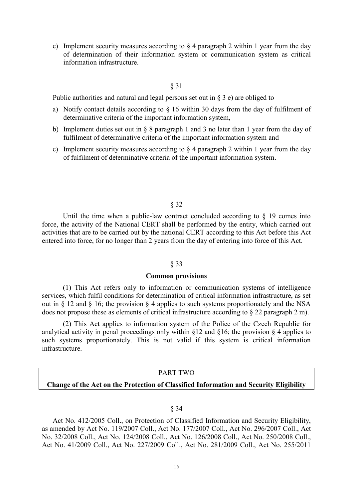c) Implement security measures according to  $\S 4$  paragraph 2 within 1 year from the day of determination of their information system or communication system as critical information infrastructure.

# § 31

Public authorities and natural and legal persons set out in  $\S$  3 e) are obliged to

- a) Notify contact details according to § 16 within 30 days from the day of fulfilment of determinative criteria of the important information system,
- b) Implement duties set out in § 8 paragraph 1 and 3 no later than 1 year from the day of fulfilment of determinative criteria of the important information system and
- c) Implement security measures according to  $\S 4$  paragraph 2 within 1 year from the day of fulfilment of determinative criteria of the important information system.

#### § 32

Until the time when a public-law contract concluded according to  $\S$  19 comes into force, the activity of the National CERT shall be performed by the entity, which carried out activities that are to be carried out by the national CERT according to this Act before this Act entered into force, for no longer than 2 years from the day of entering into force of this Act.

#### § 33

#### **Common provisions**

(1) This Act refers only to information or communication systems of intelligence services, which fulfil conditions for determination of critical information infrastructure, as set out in § 12 and § 16; the provision § 4 applies to such systems proportionately and the NSA does not propose these as elements of critical infrastructure according to § 22 paragraph 2 m).

(2) This Act applies to information system of the Police of the Czech Republic for analytical activity in penal proceedings only within  $\S$ 12 and  $\S$ 16; the provision  $\S$  4 applies to such systems proportionately. This is not valid if this system is critical information infrastructure.

# PART TWO

## **Change of the Act on the Protection of Classified Information and Security Eligibility**

#### § 34

Act No. 412/2005 Coll., on Protection of Classified Information and Security Eligibility, as amended by Act No. 119/2007 Coll., Act No. 177/2007 Coll., Act No. 296/2007 Coll., Act No. 32/2008 Coll., Act No. 124/2008 Coll., Act No. 126/2008 Coll., Act No. 250/2008 Coll., Act No. 41/2009 Coll., Act No. 227/2009 Coll., Act No. 281/2009 Coll., Act No. 255/2011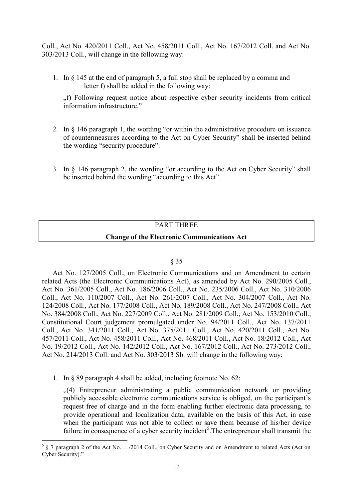Coll., Act No. 420/2011 Coll., Act No. 458/2011 Coll., Act No. 167/2012 Coll. and Act No. 303/2013 Coll., will change in the following way:

1. In § 145 at the end of paragraph 5, a full stop shall be replaced by a comma and letter f) shall be added in the following way:

"f) Following request notice about respective cyber security incidents from critical information infrastructure."

- 2. In § 146 paragraph 1, the wording "or within the administrative procedure on issuance of countermeasures according to the Act on Cyber Security" shall be inserted behind the wording "security procedure".
- 3. In § 146 paragraph 2, the wording "or according to the Act on Cyber Security" shall be inserted behind the wording "according to this Act".

# PART THREE

# **Change of the Electronic Communications Act**

# § 35

Act No. 127/2005 Coll., on Electronic Communications and on Amendment to certain related Acts (the Electronic Communications Act), as amended by Act No. 290/2005 Coll., Act No. 361/2005 Coll., Act No. 186/2006 Coll., Act No. 235/2006 Coll., Act No. 310/2006 Coll., Act No. 110/2007 Coll., Act No. 261/2007 Coll., Act No. 304/2007 Coll., Act No. 124/2008 Coll., Act No. 177/2008 Coll., Act No. 189/2008 Coll., Act No. 247/2008 Coll., Act No. 384/2008 Coll., Act No. 227/2009 Coll., Act No. 281/2009 Coll., Act No. 153/2010 Coll., Constitutional Court judgement promulgated under No. 94/2011 Coll., Act No. 137/2011 Coll., Act No. 341/2011 Coll., Act No. 375/2011 Coll., Act No. 420/2011 Coll., Act No. 457/2011 Coll., Act No. 458/2011 Coll., Act No. 468/2011 Coll., Act No. 18/2012 Coll., Act No. 19/2012 Coll., Act No. 142/2012 Coll., Act No. 167/2012 Coll., Act No. 273/2012 Coll., Act No. 214/2013 Coll. and Act No. 303/2013 Sb. will change in the following way:

1. In § 89 paragraph 4 shall be added, including footnote No. 62:

1

...(4) Entrepreneur administrating a public communication network or providing publicly accessible electronic communications service is obliged, on the participant's request free of charge and in the form enabling further electronic data processing, to provide operational and localization data, available on the basis of this Act, in case when the participant was not able to collect or save them because of his/her device failure in consequence of a cyber security incident<sup>5</sup>. The entrepreneur shall transmit the

 $5 \S$  7 paragraph 2 of the Act No. .../2014 Coll., on Cyber Security and on Amendment to related Acts (Act on Cyber Security)."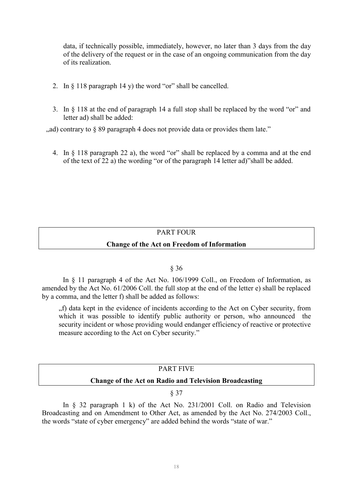data, if technically possible, immediately, however, no later than 3 days from the day of the delivery of the request or in the case of an ongoing communication from the day of its realization.

- 2. In § 118 paragraph 14 y) the word "or" shall be cancelled.
- 3. In § 118 at the end of paragraph 14 a full stop shall be replaced by the word "or" and letter ad) shall be added:

 $\alpha$  ad) contrary to  $\delta$  89 paragraph 4 does not provide data or provides them late."

4. In § 118 paragraph 22 a), the word "or" shall be replaced by a comma and at the end of the text of 22 a) the wording "or of the paragraph 14 letter ad)"shall be added.

# PART FOUR

# **Change of the Act on Freedom of Information**

# § 36

In § 11 paragraph 4 of the Act No. 106/1999 Coll., on Freedom of Information, as amended by the Act No. 61/2006 Coll. the full stop at the end of the letter e) shall be replaced by a comma, and the letter f) shall be added as follows:

"f) data kept in the evidence of incidents according to the Act on Cyber security, from which it was possible to identify public authority or person, who announced the security incident or whose providing would endanger efficiency of reactive or protective measure according to the Act on Cyber security."

# PART FIVE **Change of the Act on Radio and Television Broadcasting**

# § 37

In § 32 paragraph 1 k) of the Act No. 231/2001 Coll. on Radio and Television Broadcasting and on Amendment to Other Act, as amended by the Act No. 274/2003 Coll., the words "state of cyber emergency" are added behind the words "state of war."